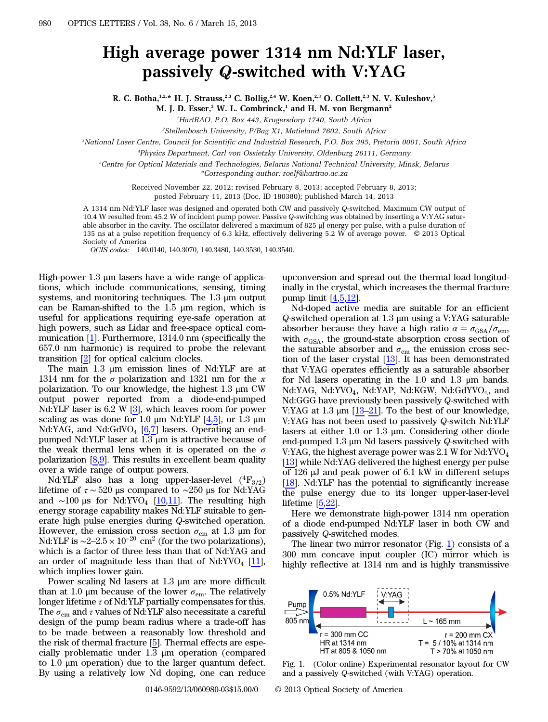## High average power 1314 nm Nd:YLF laser, passively *Q*-switched with V:YAG

R. C. Botha, 1,2,\* H. J. Strauss, 2,3 C. Bollig, 2,4 W. Koen, 2,3 O. Collett, 2,3 N. V. Kuleshov, 5 M. J. D. Esser, $3$  W. L. Combrinck, $1$  and H. M. von Bergmann<sup>2</sup>

<sup>1</sup>HartRAO, P.O. Box 443, Krugersdorp 1740, South Africa

2 Stellenbosch University, P/Bag X1, Matieland 7602, South Africa

3 National Laser Centre, Council for Scientific and Industrial Research, P.O. Box 395, Pretoria 0001, South Africa

4 Physics Department, Carl von Ossietzky University, Oldenburg 26111, Germany

5 Centre for Optical Materials and Technologies, Belarus National Technical University, Minsk, Belarus

\*Corresponding author: roelf@hartrao.ac.za

Received November 22, 2012; revised February 8, 2013; accepted February 8, 2013;

posted February 11, 2013 (Doc. ID 180380); published March 14, 2013

A 1314 nm Nd:YLF laser was designed and operated both CW and passively Q-switched. Maximum CW output of 10.4 W resulted from 45.2 W of incident pump power. Passive Q-switching was obtained by inserting a V:YAG saturable absorber in the cavity. The oscillator delivered a maximum of 825 μJ energy per pulse, with a pulse duration of 135 ns at a pulse repetition frequency of 6.3 kHz, effectively delivering 5.2 W of average power. © 2013 Optical Society of America

OCIS codes: 140.0140, 140.3070, 140.3480, 140.3530, 140.3540.

High-power 1.3 μm lasers have a wide range of applications, which include communications, sensing, timing systems, and monitoring techniques. The 1.3 μm output can be Raman-shifted to the 1.5 μm region, which is useful for applications requiring eye-safe operation at high powers, such as Lidar and free-space optical communication [\[1](#page-2-0)]. Furthermore, 1314.0 nm (specifically the 657.0 nm harmonic) is required to probe the relevant transition [\[2](#page-2-1)] for optical calcium clocks.

The main 1.3 μm emission lines of Nd:YLF are at 1314 nm for the  $\sigma$  polarization and 1321 nm for the  $\pi$ polarization. To our knowledge, the highest 1.3 μm CW output power reported from a diode-end-pumped Nd:YLF laser is  $6.2 \text{ W } [3]$  $6.2 \text{ W } [3]$ , which leaves room for power scaling as was done for 1.0 μm Nd:YLF  $[4,5]$  $[4,5]$  $[4,5]$  $[4,5]$ , or 1.3 μm Nd:YAG, and Nd:GdVO<sub>4</sub>  $[6,7]$  $[6,7]$  $[6,7]$  lasers. Operating an endpumped Nd:YLF laser at 1.3 μm is attractive because of the weak thermal lens when it is operated on the  $\sigma$ polarization  $[8,9]$  $[8,9]$  $[8,9]$ . This results in excellent beam quality over a wide range of output powers.

Nd:YLF also has a long upper-laser-level  $(^4F_{3/2})$ lifetime of τ ∼ 520 μs compared to ∼250 μs for Nd:YAG and ~100 μs for Nd:YVO<sub>4</sub> [ $10,11$  $10,11$ ]. The resulting high energy storage capability makes Nd:YLF suitable to generate high pulse energies during Q-switched operation. However, the emission cross section  $\sigma_{\rm em}$  at 1.3 µm for Nd:YLF is ~2–2.5 × 10<sup>-20</sup> cm<sup>2</sup> (for the two polarizations), which is a factor of three less than that of Nd:YAG and an order of magnitude less than that of Nd:YVO<sub>4</sub> [\[11](#page-2-10)], which implies lower gain.

Power scaling Nd lasers at 1.3 μm are more difficult than at 1.0 μm because of the lower  $σ_{em}$ . The relatively longer lifetime  $\tau$  of Nd:YLF partially compensates for this. The  $\sigma_{\text{em}}$  and  $\tau$  values of Nd:YLF also necessitate a careful design of the pump beam radius where a trade-off has to be made between a reasonably low threshold and the risk of thermal fracture [\[5](#page-2-4)]. Thermal effects are especially problematic under 1.3 μm operation (compared to 1.0 μm operation) due to the larger quantum defect. By using a relatively low Nd doping, one can reduce

upconversion and spread out the thermal load longitudinally in the crystal, which increases the thermal fracture pump limit [[4,](#page-2-3)[5](#page-2-4),[12\]](#page-2-11).

Nd-doped active media are suitable for an efficient Q-switched operation at 1.3 μm using a V:YAG saturable absorber because they have a high ratio  $\alpha = \sigma_{\text{GSA}}/\sigma_{\text{em}}$ , with  $\sigma_{\text{GSA}}$ , the ground-state absorption cross section of the saturable absorber and  $\sigma_{em}$  the emission cross section of the laser crystal  $[13]$  $[13]$ . It has been demonstrated that V:YAG operates efficiently as a saturable absorber for Nd lasers operating in the 1.0 and 1.3 μm bands. Nd:YAG, Nd:YVO<sub>4</sub>, Nd:YAP, Nd:KGW, Nd:GdYVO<sub>4</sub>, and Nd:GGG have previously been passively Q-switched with V:YAG at 1.3  $\mu$ m [[13](#page-2-12)–[21\]](#page-2-13). To the best of our knowledge, V:YAG has not been used to passively Q-switch Nd:YLF lasers at either 1.0 or 1.3 μm. Considering other diode end-pumped 1.3 μm Nd lasers passively Q-switched with V:YAG, the highest average power was 2.1 W for Nd:YVO<sub>4</sub> [\[13](#page-2-12)] while Nd:YAG delivered the highest energy per pulse of 126 μJ and peak power of 6.1 kW in different setups [\[18](#page-2-14)]. Nd:YLF has the potential to significantly increase the pulse energy due to its longer upper-laser-level lifetime [[5,](#page-2-4)[22](#page-2-15)].

Here we demonstrate high-power 1314 nm operation of a diode end-pumped Nd:YLF laser in both CW and passively Q-switched modes.

The linear two mirror resonator (Fig.  $1$ ) consists of a 300 mm concave input coupler (IC) mirror which is highly reflective at 1314 nm and is highly transmissive

<span id="page-0-0"></span>

Fig. 1. (Color online) Experimental resonator layout for CW and a passively Q-switched (with V:YAG) operation.

0146-9592/13/060980-03\$15.00/0 © 2013 Optical Society of America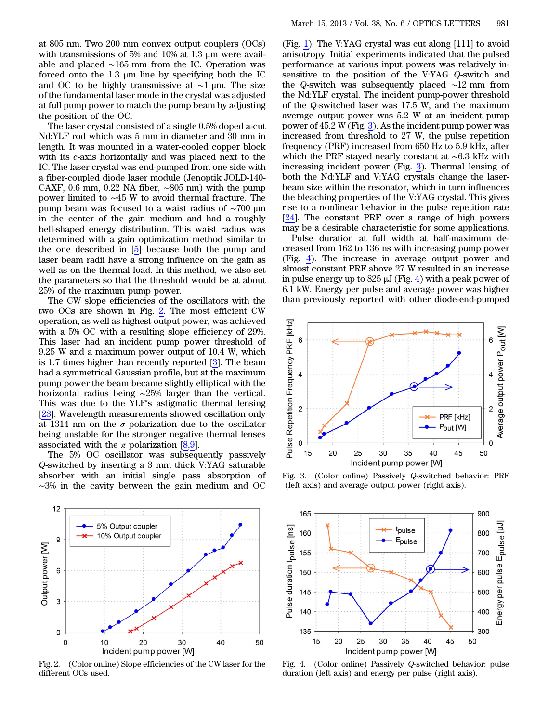at 805 nm. Two 200 mm convex output couplers (OCs) with transmissions of 5% and 10% at 1.3 μm were available and placed ∼165 mm from the IC. Operation was forced onto the 1.3 μm line by specifying both the IC and OC to be highly transmissive at ∼1 μm. The size of the fundamental laser mode in the crystal was adjusted at full pump power to match the pump beam by adjusting the position of the OC.

The laser crystal consisted of a single 0.5% doped a-cut Nd:YLF rod which was 5 mm in diameter and 30 mm in length. It was mounted in a water-cooled copper block with its c-axis horizontally and was placed next to the IC. The laser crystal was end-pumped from one side with a fiber-coupled diode laser module (Jenoptik JOLD-140- CAXF, 0.6 mm, 0.22 NA fiber,  $\sim 805$  nm) with the pump power limited to ∼45 W to avoid thermal fracture. The pump beam was focused to a waist radius of ∼700 μm in the center of the gain medium and had a roughly bell-shaped energy distribution. This waist radius was determined with a gain optimization method similar to the one described in [\[5](#page-2-4)] because both the pump and laser beam radii have a strong influence on the gain as well as on the thermal load. In this method, we also set the parameters so that the threshold would be at about 25% of the maximum pump power.

The CW slope efficiencies of the oscillators with the two OCs are shown in Fig. [2](#page-1-0). The most efficient CW operation, as well as highest output power, was achieved with a 5% OC with a resulting slope efficiency of 29%. This laser had an incident pump power threshold of 9.25 W and a maximum power output of 10.4 W, which is 1.7 times higher than recently reported [[3\]](#page-2-2). The beam had a symmetrical Gaussian profile, but at the maximum pump power the beam became slightly elliptical with the horizontal radius being ∼25% larger than the vertical. This was due to the YLF's astigmatic thermal lensing [\[23](#page-2-16)]. Wavelength measurements showed oscillation only at 1314 nm on the  $\sigma$  polarization due to the oscillator being unstable for the stronger negative thermal lenses associated with the  $\pi$  polarization [[8,](#page-2-7)[9](#page-2-8)].

The 5% OC oscillator was subsequently passively Q-switched by inserting a 3 mm thick V:YAG saturable absorber with an initial single pass absorption of ∼3% in the cavity between the gain medium and OC

<span id="page-1-0"></span>

Fig. 2. (Color online) Slope efficiencies of the CW laser for the different OCs used.

(Fig. [1](#page-0-0)). The V:YAG crystal was cut along [111] to avoid anisotropy. Initial experiments indicated that the pulsed performance at various input powers was relatively insensitive to the position of the V:YAG Q-switch and the Q-switch was subsequently placed ∼12 mm from the Nd:YLF crystal. The incident pump-power threshold of the Q-switched laser was 17.5 W, and the maximum average output power was 5.2 W at an incident pump power of 45.2 W (Fig. [3\)](#page-1-1). As the incident pump power was increased from threshold to 27 W, the pulse repetition frequency (PRF) increased from 650 Hz to 5.9 kHz, after which the PRF stayed nearly constant at ∼6.3 kHz with increasing incident power (Fig. [3](#page-1-1)). Thermal lensing of both the Nd:YLF and V:YAG crystals change the laserbeam size within the resonator, which in turn influences the bleaching properties of the V:YAG crystal. This gives rise to a nonlinear behavior in the pulse repetition rate [\[24](#page-2-17)]. The constant PRF over a range of high powers may be a desirable characteristic for some applications.

Pulse duration at full width at half-maximum decreased from 162 to 136 ns with increasing pump power (Fig. [4](#page-1-2)). The increase in average output power and almost constant PRF above 27 W resulted in an increase in pulse energy up to  $825 \mu J$  (Fig. [4\)](#page-1-2) with a peak power of 6.1 kW. Energy per pulse and average power was higher than previously reported with other diode-end-pumped

<span id="page-1-1"></span>

Fig. 3. (Color online) Passively Q-switched behavior: PRF (left axis) and average output power (right axis).

<span id="page-1-2"></span>

Fig. 4. (Color online) Passively Q-switched behavior: pulse duration (left axis) and energy per pulse (right axis).